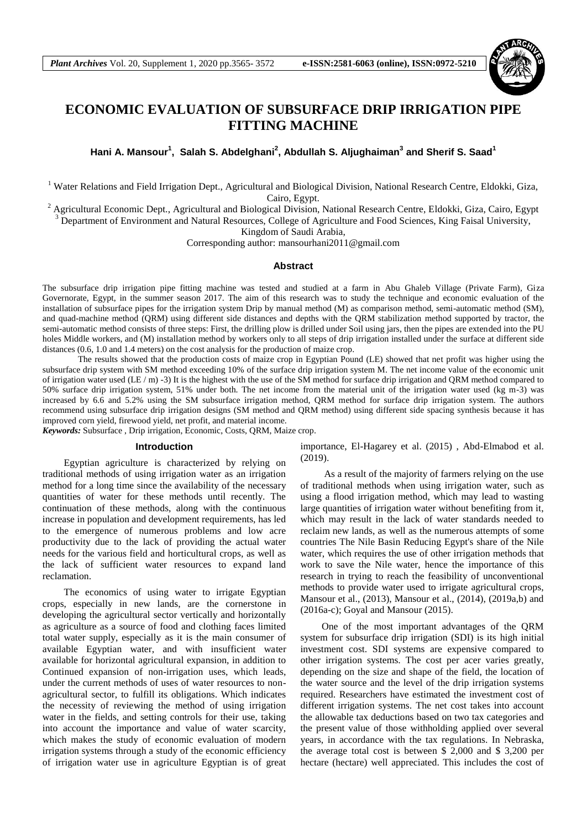

# **ECONOMIC EVALUATION OF SUBSURFACE DRIP IRRIGATION PIPE FITTING MACHINE**

**Hani A. Mansour<sup>1</sup> , Salah S. Abdelghani<sup>2</sup> , Abdullah S. Aljughaiman<sup>3</sup> and Sherif S. Saad<sup>1</sup>**

<sup>1</sup> Water Relations and Field Irrigation Dept., Agricultural and Biological Division, National Research Centre, Eldokki, Giza, Cairo, Egypt.

<sup>2</sup> Agricultural Economic Dept., Agricultural and Biological Division, National Research Centre, Eldokki, Giza, Cairo, Egypt <sup>3</sup> Department of Environment and Natural Resources, College of Agriculture and Food Sciences, King Faisal University,

Kingdom of Saudi Arabia,

Corresponding author: [mansourhani2011@gmail.com](mailto:mansourhani2011@gmail.com)

### **Abstract**

The subsurface drip irrigation pipe fitting machine was tested and studied at a farm in Abu Ghaleb Village (Private Farm), Giza Governorate, Egypt, in the summer season 2017. The aim of this research was to study the technique and economic evaluation of the installation of subsurface pipes for the irrigation system Drip by manual method (M) as comparison method, semi-automatic method (SM), and quad-machine method (QRM) using different side distances and depths with the QRM stabilization method supported by tractor, the semi-automatic method consists of three steps: First, the drilling plow is drilled under Soil using jars, then the pipes are extended into the PU holes Middle workers, and (M) installation method by workers only to all steps of drip irrigation installed under the surface at different side distances (0.6, 1.0 and 1.4 meters) on the cost analysis for the production of maize crop.

The results showed that the production costs of maize crop in Egyptian Pound (LE) showed that net profit was higher using the subsurface drip system with SM method exceeding 10% of the surface drip irrigation system M. The net income value of the economic unit of irrigation water used (LE / m) -3) It is the highest with the use of the SM method for surface drip irrigation and QRM method compared to 50% surface drip irrigation system, 51% under both. The net income from the material unit of the irrigation water used (kg m-3) was increased by 6.6 and 5.2% using the SM subsurface irrigation method, QRM method for surface drip irrigation system. The authors recommend using subsurface drip irrigation designs (SM method and QRM method) using different side spacing synthesis because it has improved corn yield, firewood yield, net profit, and material income.

*Keywords:* Subsurface , Drip irrigation, Economic, Costs, QRM, Maize crop.

#### **Introduction**

Egyptian agriculture is characterized by relying on traditional methods of using irrigation water as an irrigation method for a long time since the availability of the necessary quantities of water for these methods until recently. The continuation of these methods, along with the continuous increase in population and development requirements, has led to the emergence of numerous problems and low acre productivity due to the lack of providing the actual water needs for the various field and horticultural crops, as well as the lack of sufficient water resources to expand land reclamation.

The economics of using water to irrigate Egyptian crops, especially in new lands, are the cornerstone in developing the agricultural sector vertically and horizontally as agriculture as a source of food and clothing faces limited total water supply, especially as it is the main consumer of available Egyptian water, and with insufficient water available for horizontal agricultural expansion, in addition to Continued expansion of non-irrigation uses, which leads, under the current methods of uses of water resources to nonagricultural sector, to fulfill its obligations. Which indicates the necessity of reviewing the method of using irrigation water in the fields, and setting controls for their use, taking into account the importance and value of water scarcity, which makes the study of economic evaluation of modern irrigation systems through a study of the economic efficiency of irrigation water use in agriculture Egyptian is of great

importance, El-Hagarey et al. (2015) , Abd-Elmabod et al. (2019).

As a result of the majority of farmers relying on the use of traditional methods when using irrigation water, such as using a flood irrigation method, which may lead to wasting large quantities of irrigation water without benefiting from it, which may result in the lack of water standards needed to reclaim new lands, as well as the numerous attempts of some countries The Nile Basin Reducing Egypt's share of the Nile water, which requires the use of other irrigation methods that work to save the Nile water, hence the importance of this research in trying to reach the feasibility of unconventional methods to provide water used to irrigate agricultural crops, Mansour et al., (2013), Mansour et al., (2014), (2019a,b) and (2016a-c); Goyal and Mansour (2015).

One of the most important advantages of the QRM system for subsurface drip irrigation (SDI) is its high initial investment cost. SDI systems are expensive compared to other irrigation systems. The cost per acer varies greatly, depending on the size and shape of the field, the location of the water source and the level of the drip irrigation systems required. Researchers have estimated the investment cost of different irrigation systems. The net cost takes into account the allowable tax deductions based on two tax categories and the present value of those withholding applied over several years, in accordance with the tax regulations. In Nebraska, the average total cost is between \$ 2,000 and \$ 3,200 per hectare (hectare) well appreciated. This includes the cost of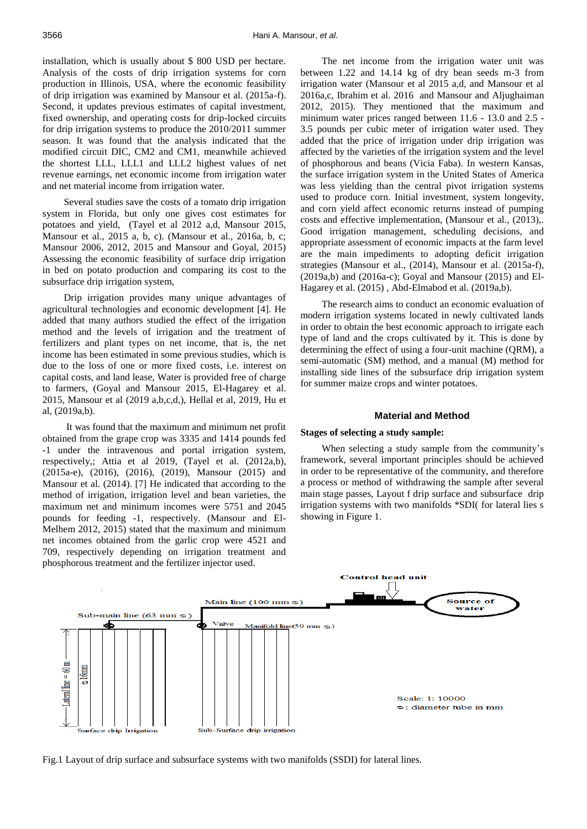installation, which is usually about \$ 800 USD per hectare. Analysis of the costs of drip irrigation systems for corn production in Illinois, USA, where the economic feasibility of drip irrigation was examined by Mansour et al. (2015a-f). Second, it updates previous estimates of capital investment, fixed ownership, and operating costs for drip-locked circuits for drip irrigation systems to produce the 2010/2011 summer season. It was found that the analysis indicated that the modified circuit DIC, CM2 and CM1, meanwhile achieved the shortest LLL, LLL1 and LLL2 highest values of net revenue earnings, net economic income from irrigation water and net material income from irrigation water.

Several studies save the costs of a tomato drip irrigation system in Florida, but only one gives cost estimates for potatoes and yield, (Tayel et al 2012 a,d, Mansour 2015, Mansour et al., 2015 a, b, c). (Mansour et al., 2016a, b, c; Mansour 2006, 2012, 2015 and Mansour and Goyal, 2015) Assessing the economic feasibility of surface drip irrigation in bed on potato production and comparing its cost to the subsurface drip irrigation system,

Drip irrigation provides many unique advantages of agricultural technologies and economic development [4]. He added that many authors studied the effect of the irrigation method and the levels of irrigation and the treatment of fertilizers and plant types on net income, that is, the net income has been estimated in some previous studies, which is due to the loss of one or more fixed costs, i.e. interest on capital costs, and land lease, Water is provided free of charge to farmers, (Goyal and Mansour 2015, El-Hagarey et al. 2015, Mansour et al (2019 a,b,c,d,), Hellal et al, 2019, Hu et al, (2019a,b).

It was found that the maximum and minimum net profit obtained from the grape crop was 3335 and 1414 pounds fed -1 under the intravenous and portal irrigation system, respectively,; Attia et al 2019, (Tayel et al. (2012a,b), (2015a-e), (2016), (2016), (2019), Mansour (2015) and Mansour et al. (2014). [7] He indicated that according to the method of irrigation, irrigation level and bean varieties, the maximum net and minimum incomes were 5751 and 2045 pounds for feeding -1, respectively. (Mansour and El-Melhem 2012, 2015) stated that the maximum and minimum net incomes obtained from the garlic crop were 4521 and 709, respectively depending on irrigation treatment and phosphorous treatment and the fertilizer injector used.

The net income from the irrigation water unit was between 1.22 and 14.14 kg of dry bean seeds m-3 from irrigation water (Mansour et al 2015 a,d, and Mansour et al 2016a,c, Ibrahim et al. 2016 and Mansour and Aljughaiman 2012, 2015). They mentioned that the maximum and minimum water prices ranged between 11.6 - 13.0 and 2.5 - 3.5 pounds per cubic meter of irrigation water used. They added that the price of irrigation under drip irrigation was affected by the varieties of the irrigation system and the level of phosphorous and beans (Vicia Faba). In western Kansas, the surface irrigation system in the United States of America was less yielding than the central pivot irrigation systems used to produce corn. Initial investment, system longevity, and corn yield affect economic returns instead of pumping costs and effective implementation, (Mansour et al., (2013),. Good irrigation management, scheduling decisions, and appropriate assessment of economic impacts at the farm level are the main impediments to adopting deficit irrigation strategies (Mansour et al., (2014), Mansour et al. (2015a-f), (2019a,b) and (2016a-c); Goyal and Mansour (2015) and El-Hagarey et al. (2015) , Abd-Elmabod et al. (2019a,b).

The research aims to conduct an economic evaluation of modern irrigation systems located in newly cultivated lands in order to obtain the best economic approach to irrigate each type of land and the crops cultivated by it. This is done by determining the effect of using a four-unit machine (QRM), a semi-automatic (SM) method, and a manual (M) method for installing side lines of the subsurface drip irrigation system for summer maize crops and winter potatoes.

#### **Material and Method**

#### **Stages of selecting a study sample:**

When selecting a study sample from the community's framework, several important principles should be achieved in order to be representative of the community, and therefore a process or method of withdrawing the sample after several main stage passes, Layout f drip surface and subsurface drip irrigation systems with two manifolds \*SDI( for lateral lies s showing in Figure 1.



Fig.1 Layout of drip surface and subsurface systems with two manifolds (SSDI) for lateral lines.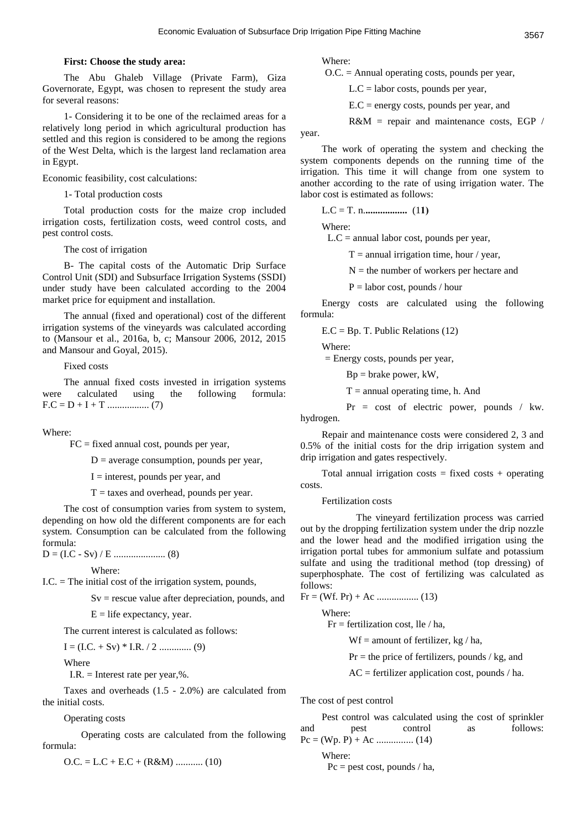#### **First: Choose the study area:**

The Abu Ghaleb Village (Private Farm), Giza Governorate, Egypt, was chosen to represent the study area for several reasons:

1- Considering it to be one of the reclaimed areas for a relatively long period in which agricultural production has settled and this region is considered to be among the regions of the West Delta, which is the largest land reclamation area in Egypt.

Economic feasibility, cost calculations:

1- Total production costs

Total production costs for the maize crop included irrigation costs, fertilization costs, weed control costs, and pest control costs.

The cost of irrigation

B- The capital costs of the Automatic Drip Surface Control Unit (SDI) and Subsurface Irrigation Systems (SSDI) under study have been calculated according to the 2004 market price for equipment and installation.

The annual (fixed and operational) cost of the different irrigation systems of the vineyards was calculated according to (Mansour et al., 2016a, b, c; Mansour 2006, 2012, 2015 and Mansour and Goyal, 2015).

Fixed costs

The annual fixed costs invested in irrigation systems were calculated using the following formula: F.C = D + I + T ................. (7)

Where:

 $FC = fixed$  annual cost, pounds per year,

 $D =$  average consumption, pounds per year,

 $I =$  interest, pounds per year, and

 $T =$  taxes and overhead, pounds per year.

The cost of consumption varies from system to system, depending on how old the different components are for each system. Consumption can be calculated from the following formula:

D = (I.C - Sv) / E ..................... (8)

Where:

I.C. = The initial cost of the irrigation system, pounds,

 $Sv$  = rescue value after depreciation, pounds, and

 $E =$  life expectancy, year.

The current interest is calculated as follows:

I = (I.C. + Sv) \* I.R. / 2 ............. (9)

Where

I.R.  $=$  Interest rate per year, %.

Taxes and overheads (1.5 - 2.0%) are calculated from the initial costs.

Operating costs

 Operating costs are calculated from the following formula:

O.C. = L.C + E.C + (R&M) ........... (10)

Where:

O.C. = Annual operating costs, pounds per year,

 $L.C =$  labor costs, pounds per year,

 $E.C = energy costs, pounds per year, and$ 

R&M = repair and maintenance costs, EGP /

year.

The work of operating the system and checking the system components depends on the running time of the irrigation. This time it will change from one system to another according to the rate of using irrigation water. The labor cost is estimated as follows:

L.C = T. n.**.................** (1**1(**

Where:

 $L.C =$  annual labor cost, pounds per year,

 $T =$  annual irrigation time, hour / year,

 $N =$  the number of workers per hectare and

 $P =$ labor cost, pounds / hour

Energy costs are calculated using the following formula:

 $E.C = Bp.$  T. Public Relations (12)

Where:

= Energy costs, pounds per year,

Bp = brake power, kW,

 $T =$  annual operating time, h. And

 Pr = cost of electric power, pounds / kw. hydrogen.

Repair and maintenance costs were considered 2, 3 and 0.5% of the initial costs for the drip irrigation system and drip irrigation and gates respectively.

Total annual irrigation costs  $=$  fixed costs  $+$  operating costs.

Fertilization costs

 The vineyard fertilization process was carried out by the dropping fertilization system under the drip nozzle and the lower head and the modified irrigation using the irrigation portal tubes for ammonium sulfate and potassium sulfate and using the traditional method (top dressing) of superphosphate. The cost of fertilizing was calculated as follows:

Fr = (Wf. Pr) + Ac ................. (13)

Where:

Fr = fertilization cost, lle  $/$  ha,

 $Wf =$  amount of fertilizer, kg / ha,

 $Pr =$  the price of fertilizers, pounds / kg, and

 $AC =$  fertilizer application cost, pounds / ha.

The cost of pest control

|        | Pest control was calculated using the cost of sprinkler |    |          |
|--------|---------------------------------------------------------|----|----------|
| and    | pest control                                            | as | follows: |
|        |                                                         |    |          |
| Where: |                                                         |    |          |

 $Pc = \text{pest cost}, \text{pounds} / \text{ha},$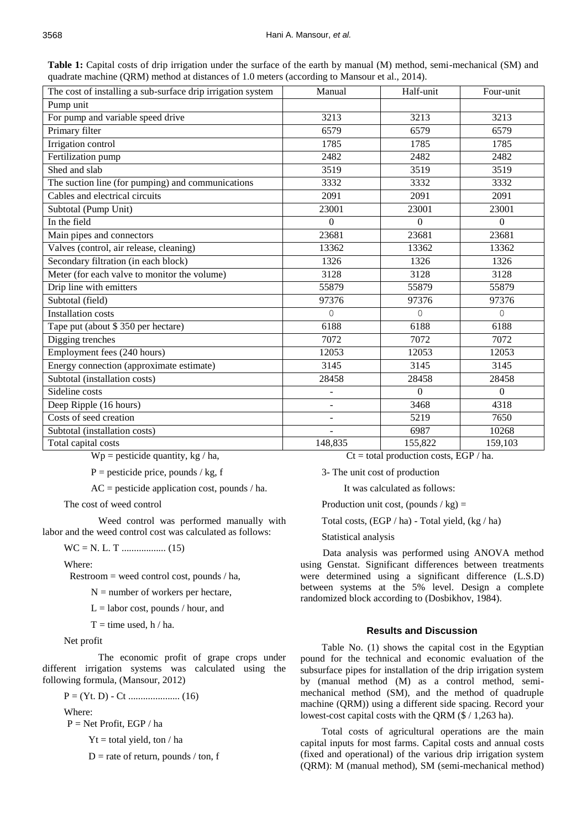**Table 1:** Capital costs of drip irrigation under the surface of the earth by manual (M) method, semi-mechanical (SM) and quadrate machine (QRM) method at distances of 1.0 meters (according to Mansour et al., 2014).

| The cost of installing a sub-surface drip irrigation system | Manual                   | Half-unit | Four-unit    |
|-------------------------------------------------------------|--------------------------|-----------|--------------|
| Pump unit                                                   |                          |           |              |
| For pump and variable speed drive                           | 3213                     | 3213      | 3213         |
| Primary filter                                              | 6579                     | 6579      | 6579         |
| Irrigation control                                          | 1785                     | 1785      | 1785         |
| Fertilization pump                                          | 2482                     | 2482      | 2482         |
| Shed and slab                                               | 3519                     | 3519      | 3519         |
| The suction line (for pumping) and communications           | 3332                     | 3332      | 3332         |
| Cables and electrical circuits                              | 2091                     | 2091      | 2091         |
| Subtotal (Pump Unit)                                        | 23001                    | 23001     | 23001        |
| In the field                                                | $\theta$                 | $\theta$  | $\mathbf{0}$ |
| Main pipes and connectors                                   | 23681                    | 23681     | 23681        |
| Valves (control, air release, cleaning)                     | 13362                    | 13362     | 13362        |
| Secondary filtration (in each block)                        | 1326                     | 1326      | 1326         |
| Meter (for each valve to monitor the volume)                | 3128                     | 3128      | 3128         |
| Drip line with emitters                                     | 55879                    | 55879     | 55879        |
| Subtotal (field)                                            | 97376                    | 97376     | 97376        |
| <b>Installation costs</b>                                   | 0                        | 0         | $\Omega$     |
| Tape put (about \$350 per hectare)                          | 6188                     | 6188      | 6188         |
| Digging trenches                                            | 7072                     | 7072      | 7072         |
| Employment fees (240 hours)                                 | 12053                    | 12053     | 12053        |
| Energy connection (approximate estimate)                    | 3145                     | 3145      | 3145         |
| Subtotal (installation costs)                               | 28458                    | 28458     | 28458        |
| Sideline costs                                              | $\overline{\phantom{a}}$ | $\Omega$  | $\Omega$     |
| Deep Ripple (16 hours)                                      | $\overline{a}$           | 3468      | 4318         |
| Costs of seed creation                                      |                          | 5219      | 7650         |
| Subtotal (installation costs)                               |                          | 6987      | 10268        |
| Total capital costs                                         | 148,835                  | 155,822   | 159,103      |

 $Wp$  = pesticide quantity, kg / ha,

 $P =$  pesticide price, pounds / kg, f

AC = pesticide application cost, pounds / ha.

The cost of weed control

 Weed control was performed manually with labor and the weed control cost was calculated as follows:

WC = N. L. T .................. (15)

Where:

Restroom = weed control cost, pounds / ha,

 $N =$  number of workers per hectare,

 $L =$ labor cost, pounds / hour, and

 $T =$  time used, h / ha.

Net profit

 The economic profit of grape crops under different irrigation systems was calculated using the following formula, (Mansour, 2012)

$$
P = (Yt, D) - Ct
$$
 ....... (16)

Where:

P = Net Profit, EGP / ha

 $Yt = total$  yield, ton / ha

 $D$  = rate of return, pounds / ton, f

 $Ct = total production costs, EGP / ha.$ 

3- The unit cost of production

It was calculated as follows:

Production unit cost, (pounds  $\ell$  kg) =

Total costs, (EGP / ha) - Total yield, (kg / ha)

Statistical analysis

 Data analysis was performed using ANOVA method using Genstat. Significant differences between treatments were determined using a significant difference (L.S.D) between systems at the 5% level. Design a complete randomized block according to (Dosbikhov, 1984).

## **Results and Discussion**

Table No. (1) shows the capital cost in the Egyptian pound for the technical and economic evaluation of the subsurface pipes for installation of the drip irrigation system by (manual method (M) as a control method, semimechanical method (SM), and the method of quadruple machine (QRM)) using a different side spacing. Record your lowest-cost capital costs with the QRM (\$ / 1,263 ha).

Total costs of agricultural operations are the main capital inputs for most farms. Capital costs and annual costs (fixed and operational) of the various drip irrigation system (QRM): M (manual method), SM (semi-mechanical method)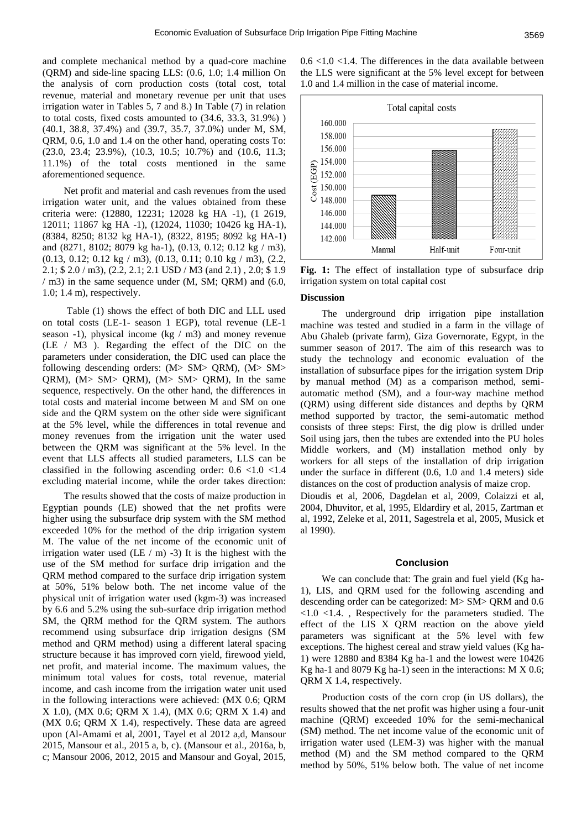and complete mechanical method by a quad-core machine (QRM) and side-line spacing LLS: (0.6, 1.0; 1.4 million On the analysis of corn production costs (total cost, total revenue, material and monetary revenue per unit that uses irrigation water in Tables 5, 7 and 8.) In Table (7) in relation to total costs, fixed costs amounted to (34.6, 33.3, 31.9%) ) (40.1, 38.8, 37.4%) and (39.7, 35.7, 37.0%) under M, SM, QRM, 0.6, 1.0 and 1.4 on the other hand, operating costs To: (23.0, 23.4; 23.9%), (10.3, 10.5; 10.7%) and (10.6, 11.3; 11.1%) of the total costs mentioned in the same aforementioned sequence.

Net profit and material and cash revenues from the used irrigation water unit, and the values obtained from these criteria were: (12880, 12231; 12028 kg HA -1), (1 2619, 12011; 11867 kg HA -1), (12024, 11030; 10426 kg HA-1), (8384, 8250; 8132 kg HA-1), (8322, 8195; 8092 kg HA-1) and (8271, 8102; 8079 kg ha-1), (0.13, 0.12; 0.12 kg / m3), (0.13, 0.12; 0.12 kg / m3), (0.13, 0.11; 0.10 kg / m3), (2.2, 2.1; \$ 2.0 / m3), (2.2, 2.1; 2.1 USD / M3 (and 2.1) , 2.0; \$ 1.9 / m3) in the same sequence under (M, SM; QRM) and (6.0, 1.0; 1.4 m), respectively.

Table (1) shows the effect of both DIC and LLL used on total costs (LE-1- season 1 EGP), total revenue (LE-1 season -1), physical income (kg / m3) and money revenue (LE / M3 ). Regarding the effect of the DIC on the parameters under consideration, the DIC used can place the following descending orders: (M> SM> QRM), (M> SM> QRM), (M> SM> QRM), (M> SM> QRM), In the same sequence, respectively. On the other hand, the differences in total costs and material income between M and SM on one side and the QRM system on the other side were significant at the 5% level, while the differences in total revenue and money revenues from the irrigation unit the water used between the QRM was significant at the 5% level. In the event that LLS affects all studied parameters, LLS can be classified in the following ascending order:  $0.6 \le 1.0 \le 1.4$ excluding material income, while the order takes direction:

The results showed that the costs of maize production in Egyptian pounds (LE) showed that the net profits were higher using the subsurface drip system with the SM method exceeded 10% for the method of the drip irrigation system M. The value of the net income of the economic unit of irrigation water used (LE / m) -3) It is the highest with the use of the SM method for surface drip irrigation and the QRM method compared to the surface drip irrigation system at 50%, 51% below both. The net income value of the physical unit of irrigation water used (kgm-3) was increased by 6.6 and 5.2% using the sub-surface drip irrigation method SM, the QRM method for the QRM system. The authors recommend using subsurface drip irrigation designs (SM method and QRM method) using a different lateral spacing structure because it has improved corn yield, firewood yield, net profit, and material income. The maximum values, the minimum total values for costs, total revenue, material income, and cash income from the irrigation water unit used in the following interactions were achieved: (MX 0.6; QRM X 1.0), (MX 0.6; QRM X 1.4), (MX 0.6; QRM X 1.4) and (MX 0.6; QRM X 1.4), respectively. These data are agreed upon (Al-Amami et al, 2001, Tayel et al 2012 a,d, Mansour 2015, Mansour et al., 2015 a, b, c). (Mansour et al., 2016a, b, c; Mansour 2006, 2012, 2015 and Mansour and Goyal, 2015,  $0.6 \le 1.0 \le 1.4$ . The differences in the data available between the LLS were significant at the 5% level except for between 1.0 and 1.4 million in the case of material income.



**Fig. 1:** The effect of installation type of subsurface drip irrigation system on total capital cost

#### **Discussion**

The underground drip irrigation pipe installation machine was tested and studied in a farm in the village of Abu Ghaleb (private farm), Giza Governorate, Egypt, in the summer season of 2017. The aim of this research was to study the technology and economic evaluation of the installation of subsurface pipes for the irrigation system Drip by manual method (M) as a comparison method, semiautomatic method (SM), and a four-way machine method (QRM) using different side distances and depths by QRM method supported by tractor, the semi-automatic method consists of three steps: First, the dig plow is drilled under Soil using jars, then the tubes are extended into the PU holes Middle workers, and (M) installation method only by workers for all steps of the installation of drip irrigation under the surface in different (0.6, 1.0 and 1.4 meters) side distances on the cost of production analysis of maize crop.

Dioudis et al, 2006, Dagdelan et al, 2009, Colaizzi et al, 2004, Dhuvitor, et al, 1995, Eldardiry et al, 2015, Zartman et al, 1992, Zeleke et al, 2011, Sagestrela et al, 2005, Musick et al 1990).

#### **Conclusion**

We can conclude that: The grain and fuel yield (Kg ha-1), LIS, and QRM used for the following ascending and descending order can be categorized: M> SM> QRM and 0.6 <1.0 <1.4. , Respectively for the parameters studied. The effect of the LIS X QRM reaction on the above yield parameters was significant at the 5% level with few exceptions. The highest cereal and straw yield values (Kg ha-1) were 12880 and 8384 Kg ha-1 and the lowest were 10426 Kg ha-1 and 8079 Kg ha-1) seen in the interactions: M X 0.6; QRM X 1.4, respectively.

Production costs of the corn crop (in US dollars), the results showed that the net profit was higher using a four-unit machine (QRM) exceeded 10% for the semi-mechanical (SM) method. The net income value of the economic unit of irrigation water used (LEM-3) was higher with the manual method (M) and the SM method compared to the QRM method by 50%, 51% below both. The value of net income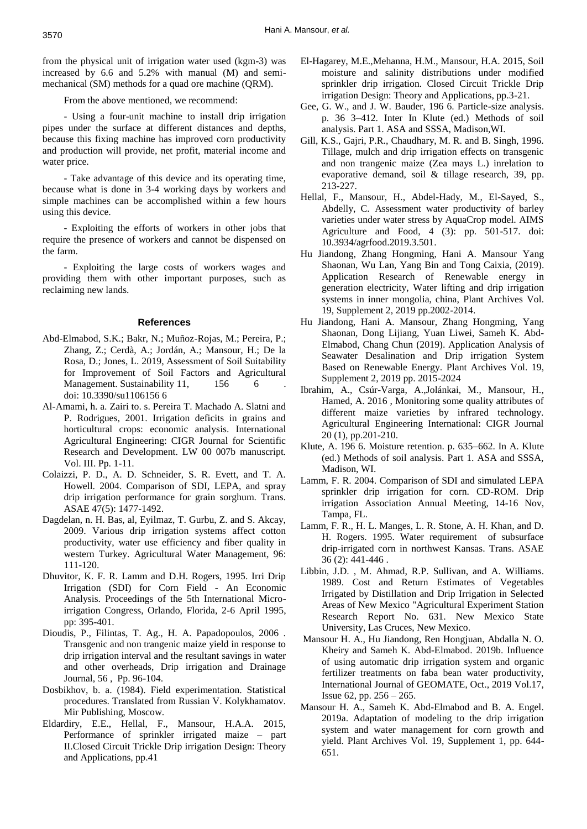from the physical unit of irrigation water used (kgm-3) was increased by 6.6 and 5.2% with manual (M) and semimechanical (SM) methods for a quad ore machine (QRM).

From the above mentioned, we recommend:

- Using a four-unit machine to install drip irrigation pipes under the surface at different distances and depths, because this fixing machine has improved corn productivity and production will provide, net profit, material income and water price.

- Take advantage of this device and its operating time, because what is done in 3-4 working days by workers and simple machines can be accomplished within a few hours using this device.

- Exploiting the efforts of workers in other jobs that require the presence of workers and cannot be dispensed on the farm.

- Exploiting the large costs of workers wages and providing them with other important purposes, such as reclaiming new lands.

#### **References**

- Abd-Elmabod, S.K.; Bakr, N.; Muñoz-Rojas, M.; Pereira, P.; Zhang, Z.; Cerdà, A.; Jordán, A.; Mansour, H.; De la Rosa, D.; Jones, L. 2019, Assessment of Soil Suitability for Improvement of Soil Factors and Agricultural Management. Sustainability 11, 156 6 doi: 10.3390/su1106156 6
- Al-Amami, h. a. Zairi to. s. Pereira T. Machado A. Slatni and P. Rodrigues, 2001. Irrigation deficits in grains and horticultural crops: economic analysis. International Agricultural Engineering: CIGR Journal for Scientific Research and Development. LW 00 007b manuscript. Vol. III. Pp. 1-11.
- Colaizzi, P. D., A. D. Schneider, S. R. Evett, and T. A. Howell. 2004. Comparison of SDI, LEPA, and spray drip irrigation performance for grain sorghum. Trans. ASAE 47(5): 1477-1492.
- Dagdelan, n. H. Bas, al, Eyilmaz, T. Gurbu, Z. and S. Akcay, 2009. Various drip irrigation systems affect cotton productivity, water use efficiency and fiber quality in western Turkey. Agricultural Water Management, 96: 111-120.
- Dhuvitor, K. F. R. Lamm and D.H. Rogers, 1995. Irri Drip Irrigation (SDI) for Corn Field - An Economic Analysis. Proceedings of the 5th International Microirrigation Congress, Orlando, Florida, 2-6 April 1995, pp: 395-401.
- Dioudis, P., Filintas, T. Ag., H. A. Papadopoulos, 2006 . Transgenic and non trangenic maize yield in response to drip irrigation interval and the resultant savings in water and other overheads, Drip irrigation and Drainage Journal, 56 , Pp. 96-104.
- Dosbikhov, b. a. (1984). Field experimentation. Statistical procedures. Translated from Russian V. Kolykhamatov. Mir Publishing, Moscow.
- Eldardiry, E.E., Hellal, F., Mansour, H.A.A. 2015, Performance of sprinkler irrigated maize – part II.Closed Circuit Trickle Drip irrigation Design: Theory and Applications, pp.41
- [El-Hagarey, M.E.,Mehanna, H.M., Mansour, H.A. 2015, Soil](http://www.scopus.com/inward/record.url?eid=2-s2.0-85054425332&partnerID=fpDjhFsn)  [moisture and salinity distributions under modified](http://www.scopus.com/inward/record.url?eid=2-s2.0-85054425332&partnerID=fpDjhFsn)  [sprinkler drip irrigation. Closed Circuit Trickle Drip](http://www.scopus.com/inward/record.url?eid=2-s2.0-85054425332&partnerID=fpDjhFsn)  [irrigation Design: Theory and Applications, pp.3-](http://www.scopus.com/inward/record.url?eid=2-s2.0-85054425332&partnerID=fpDjhFsn)21.
- Gee, G. W., and J. W. Bauder, 196 6. Particle-size analysis. p. 36 3–412. Inter In Klute (ed.) Methods of soil analysis. Part 1. ASA and SSSA, Madison,WI.
- Gill, K.S., Gajri, P.R., Chaudhary, M. R. and B. Singh, 1996. Tillage, mulch and drip irrigation effects on transgenic and non trangenic maize (Zea mays L.) inrelation to evaporative demand, soil & tillage research, 39, pp. 213-227.
- Hellal, F., Mansour, H., Abdel-Hady, M., El-Sayed, S., Abdelly, C. Assessment water productivity of barley varieties under water stress by AquaCrop model. AIMS Agriculture and Food, 4 (3): pp. 501-517. doi: [10.3934/agrfood.2019.3.501.](https://www.aimspress.com/article/10.3934/agrfood.2019.3.501)
- Hu Jiandong, Zhang Hongming, Hani A. Mansour Yang Shaonan, Wu Lan, Yang Bin and Tong Caixia, (2019). Application Research of Renewable energy in generation electricity, Water lifting and drip irrigation systems in inner mongolia, china, Plant Archives Vol. 19, Supplement 2, 2019 pp.2002-2014.
- Hu Jiandong, Hani A. Mansour, Zhang Hongming, Yang Shaonan, Dong Lijiang, Yuan Liwei, Sameh K. Abd-Elmabod, Chang Chun (2019). Application Analysis of Seawater Desalination and Drip irrigation System Based on Renewable Energy. Plant Archives Vol. 19, Supplement 2, 2019 pp. 2015-2024
- Ibrahim, A., Csúr-Varga, A.,Jolánkai, M., Mansour, H., Hamed, A. 2016 , Monitoring some quality attributes of different maize varieties by infrared technology. Agricultural Engineering International: CIGR Journal 20 (1), pp.201-210.
- Klute, A. 196 6. Moisture retention. p. 635–662. In A. Klute (ed.) Methods of soil analysis. Part 1. ASA and SSSA, Madison, WI.
- Lamm, F. R. 2004. Comparison of SDI and simulated LEPA sprinkler drip irrigation for corn. CD-ROM. Drip irrigation Association Annual Meeting, 14-16 Nov, Tampa, FL.
- Lamm, F. R., H. L. Manges, L. R. Stone, A. H. Khan, and D. H. Rogers. 1995. Water requirement of subsurface drip-irrigated corn in northwest Kansas. Trans. ASAE 36 (2): 441-446 .
- Libbin, J.D. , M. Ahmad, R.P. Sullivan, and A. Williams. 1989. Cost and Return Estimates of Vegetables Irrigated by Distillation and Drip Irrigation in Selected Areas of New Mexico "Agricultural Experiment Station Research Report No. 631. New Mexico State University, Las Cruces, New Mexico.
- Mansour H. A., Hu Jiandong, Ren Hongjuan, Abdalla N. O. Kheiry and Sameh K. [Abd-Elmabod.](https://www.mdpi.com/search?authors=Sameh%20%20Kotb%20Abd-Elmabod&orcid=0000-0003-1697-7564) 2019b. Influence of using automatic drip irrigation system and organic fertilizer treatments on faba bean water productivity, International Journal of GEOMATE, Oct., 2019 Vol.17, Issue 62, pp. 256 – 265.
- Mansour H. A., Sameh K. Abd-Elmabod and B. A. Engel. 2019a. Adaptation of modeling to the drip irrigation system and water management for corn growth and yield. Plant Archives Vol. 19, Supplement 1, pp. 644- 651.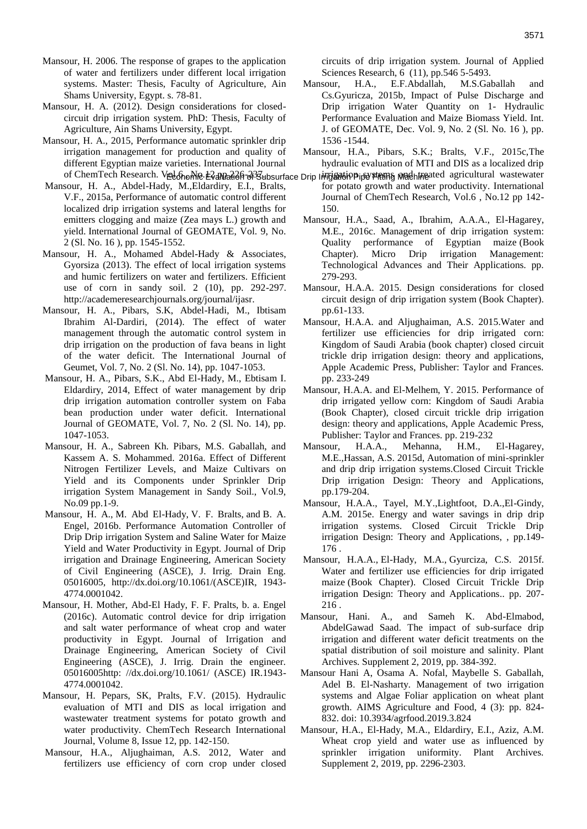- Mansour, H. 2006. The response of grapes to the application of water and fertilizers under different local irrigation systems. Master: Thesis, Faculty of Agriculture, Ain Shams University, Egypt. s. 78-81.
- Mansour, H. A. (2012). Design considerations for closedcircuit drip irrigation system. PhD: Thesis, Faculty of Agriculture, Ain Shams University, Egypt.
- Mansour, H. A., 2015, Performance automatic sprinkler drip irrigation management for production and quality of different Egyptian maize varieties. International Journal of ChemTech Research. Ved ስ<sub>o</sub>Me E2 ብழசுவேடு சிபே Subsurface Drip I சார்க்கில் Phpe Fitema Machine
- Mansour, H. A., Abdel-Hady, M.,Eldardiry, E.I., Bralts, V.F., 2015a, Performance of automatic control different localized drip irrigation systems and lateral lengths for emitters clogging and maize (Zea mays L.) growth and yield. International Journal of GEOMATE, Vol. 9, No. 2 (Sl. No. 16 ), pp. 1545-1552.
- Mansour, H. A., Mohamed Abdel-Hady & Associates, Gyorsiza (2013). The effect of local irrigation systems and humic fertilizers on water and fertilizers. Efficient use of corn in sandy soil. 2 (10), pp. 292-297. [http://academeresearchjournals.org/journal/ijasr.](http://academeresearchjournals.org/journal/ijasr)
- Mansour, H. A., Pibars, S.K, Abdel-Hadi, M., Ibtisam Ibrahim Al-Dardiri, (2014). The effect of water management through the automatic control system in drip irrigation on the production of fava beans in light of the water deficit. The International Journal of Geumet, Vol. 7, No. 2 (Sl. No. 14), pp. 1047-1053.
- Mansour, H. A., Pibars, S.K., Abd El-Hady, M., Ebtisam I. Eldardiry, 2014, Effect of water management by drip drip irrigation automation controller system on Faba bean production under water deficit. International Journal of GEOMATE, Vol. 7, No. 2 (Sl. No. 14), pp. 1047-1053.
- Mansour, H. A., Sabreen Kh. Pibars, M.S. Gaballah, and Kassem A. S. Mohammed. 2016a. Effect of Different Nitrogen Fertilizer Levels, and Maize Cultivars on Yield and its Components under Sprinkler Drip irrigation System Management in Sandy Soil., Vol.9, No.09 pp.1-9.
- Mansour, [H. A.,](http://ascelibrary.org/author/Mansour%2C+H+A) [M. Abd El-Hady,](http://ascelibrary.org/author/Abd+El-Hady%2C+M) [V. F. Bralts,](http://ascelibrary.org/author/Bralts%2C+V+F) and [B. A.](http://ascelibrary.org/author/Engel%2C+B+A)  [Engel,](http://ascelibrary.org/author/Engel%2C+B+A) 2016b. Performance Automation Controller of Drip Drip irrigation System and Saline Water for Maize Yield and Water Productivity in Egypt. Journal of Drip irrigation and Drainage Engineering, American Society of Civil Engineering (ASCE), J. Irrig. Drain Eng. 05016005, [http://dx.doi.org/10.1061/\(ASCE\)IR, 1943-](http://dx.doi.org/10.1061/(ASCE)IR,%202016.1943-4774.0001042) [4774.0001042.](http://dx.doi.org/10.1061/(ASCE)IR,%202016.1943-4774.0001042)
- Mansour, H. Mother, Abd-El Hady, F. F. Pralts, b. a. Engel (2016c). Automatic control device for drip irrigation and salt water performance of wheat crop and water productivity in Egypt. Journal of Irrigation and Drainage Engineering, American Society of Civil Engineering (ASCE), J. Irrig. Drain the engineer. 05016005http: //dx.doi.org/10.1061/ (ASCE) IR.1943- 4774.0001042.
- Mansour, H. Pepars, SK, Pralts, F.V. (2015). Hydraulic evaluation of MTI and DIS as local irrigation and wastewater treatment systems for potato growth and water productivity. ChemTech Research International Journal, Volume 8, Issue 12, pp. 142-150.
- Mansour, H.A., Aljughaiman, A.S. 2012, Water and fertilizers use efficiency of corn crop under closed

circuits of drip irrigation system. Journal of Applied Sciences Research, 6 (11), pp.546 5-5493.

- Mansour, H.A., E.F.Abdallah, M.S.Gaballah and Cs.Gyuricza, 2015b, Impact of Pulse Discharge and Drip irrigation Water Quantity on 1- Hydraulic Performance Evaluation and Maize Biomass Yield. Int. J. of GEOMATE, Dec. Vol. 9, No. 2 (Sl. No. 16 ), pp. 1536 -1544.
- Mansour, H.A., Pibars, S.K.; Bralts, V.F., 2015[c,The](https://www.scopus.com/record/display.uri?eid=2-s2.0-84957554566&origin=resultslist&sort=plf-f&src=s&sid=9f3f385c3822a5adff40c6f9fed7b096&sot=autdocs&sdt=autdocs&sl=18&s=AU-ID%2855347622900%29&relpos=20&citeCnt=3&searchTerm=)  [hydraulic evaluation of MTI and DIS as a localized drip](https://www.scopus.com/record/display.uri?eid=2-s2.0-84957554566&origin=resultslist&sort=plf-f&src=s&sid=9f3f385c3822a5adff40c6f9fed7b096&sot=autdocs&sdt=autdocs&sl=18&s=AU-ID%2855347622900%29&relpos=20&citeCnt=3&searchTerm=)
- ifrigation is stems and his accultural wastewater [for potato growth and water productivity.](https://www.scopus.com/record/display.uri?eid=2-s2.0-84957554566&origin=resultslist&sort=plf-f&src=s&sid=9f3f385c3822a5adff40c6f9fed7b096&sot=autdocs&sdt=autdocs&sl=18&s=AU-ID%2855347622900%29&relpos=20&citeCnt=3&searchTerm=) International Journal of ChemTech Research, Vol.6 , No.12 pp 142- 150.
- Mansour, H.A., Saad, A., Ibrahim, A.A.A., El-Hagarey, M.E., 2016c. Management of drip irrigation system: Quality performance of Egyptian maize (Book Chapter). Micro Drip irrigation Management: Technological Advances and Their Applications. pp. 279-293.
- [Mansour, H.A.A.](https://www.scopus.com/authid/detail.uri?origin=AuthorProfile&authorId=55347622900&zone=) 2015. [Design considerations for closed](https://www.scopus.com/record/display.uri?eid=2-s2.0-85054467262&origin=resultslist&sort=plf-f&src=s&sid=f7e0ce44af01132b67cfacbb96bcd0f0&sot=autdocs&sdt=autdocs&sl=18&s=AU-ID%2855347622900%29&relpos=8&citeCnt=0&searchTerm=)  [circuit design of drip irrigation system](https://www.scopus.com/record/display.uri?eid=2-s2.0-85054467262&origin=resultslist&sort=plf-f&src=s&sid=f7e0ce44af01132b67cfacbb96bcd0f0&sot=autdocs&sdt=autdocs&sl=18&s=AU-ID%2855347622900%29&relpos=8&citeCnt=0&searchTerm=) (Book Chapter). pp.61-133.
- Mansour, H.A.A. and Aljughaiman, A.S. 2015.Water and fertilizer use efficiencies for drip irrigated corn: Kingdom of Saudi Arabia (book chapter) closed circuit trickle drip irrigation design: theory and applications, Apple Academic Press, Publisher: Taylor and Frances. pp. 233-249
- Mansour, H.A.A. and El-Melhem, Y. 2015. Performance of drip irrigated yellow corn: Kingdom of Saudi Arabia (Book Chapter), closed circuit trickle drip irrigation design: theory and applications, Apple Academic Press, Publisher: Taylor and Frances. pp. 219-232
- Mansour, H.A.A., Mehanna, H.M., El-Hagarey, M.E.,Hassan, A.S. 2015d, Automation of mini-sprinkler and drip drip irrigation systems.Closed Circuit Trickle Drip irrigation Design: Theory and Applications, pp.179-204.
- Mansour, H.A.A., Tayel, M.Y.,Lightfoot, D.A.,El-Gindy, A.M. 2015e. Energy and water savings in drip drip irrigation systems. Closed Circuit Trickle Drip irrigation Design: Theory and Applications, , pp.149- 176 .
- [Mansour, H.A.A.,](https://www.scopus.com/authid/detail.uri?origin=AuthorProfile&authorId=55347622900&zone=) [El-Hady, M.A.,](https://www.scopus.com/authid/detail.uri?origin=AuthorProfile&authorId=57191873763&zone=) [Gyurciza, C.S.](https://www.scopus.com/authid/detail.uri?origin=AuthorProfile&authorId=57204084360&zone=) 2015f. [Water and fertilizer use efficiencies for drip irrigated](https://www.scopus.com/record/display.uri?eid=2-s2.0-85054424947&origin=resultslist&sort=plf-f&src=s&sid=f7e0ce44af01132b67cfacbb96bcd0f0&sot=autdocs&sdt=autdocs&sl=18&s=AU-ID%2855347622900%29&relpos=20&citeCnt=0&searchTerm=)  [maize](https://www.scopus.com/record/display.uri?eid=2-s2.0-85054424947&origin=resultslist&sort=plf-f&src=s&sid=f7e0ce44af01132b67cfacbb96bcd0f0&sot=autdocs&sdt=autdocs&sl=18&s=AU-ID%2855347622900%29&relpos=20&citeCnt=0&searchTerm=) (Book Chapter). [Closed Circuit Trickle Drip](https://www.scopus.com/display/book.uri?sourceId=21100879993&requestedPage=book)  [irrigation Design: Theory and Applications..](https://www.scopus.com/display/book.uri?sourceId=21100879993&requestedPage=book) pp. 207- 216 .
- Mansour, Hani. A., and Sameh K. Abd-Elmabod, AbdelGawad Saad. The impact of sub-surface drip irrigation and different water deficit treatments on the spatial distribution of soil moisture and salinity. Plant Archives. Supplement 2, 2019, pp. 384-392.
- Mansour Hani A, Osama A. Nofal, Maybelle S. Gaballah, Adel B. El-Nasharty. [Management of two irrigation](https://www.aimspress.com/article/10.3934/agrfood.2019.3.824)  [systems and Algae Foliar application on wheat plant](https://www.aimspress.com/article/10.3934/agrfood.2019.3.824)  [growth.](https://www.aimspress.com/article/10.3934/agrfood.2019.3.824) AIMS Agriculture and Food, 4 (3): pp. 824- 832. doi[: 10.3934/agrfood.2019.3.824](https://www.aimspress.com/article/10.3934/agrfood.2019.3.824)
- Mansour, H.A., El-Hady, M.A., Eldardiry, E.I., Aziz, A.M. Wheat crop yield and water use as influenced by sprinkler irrigation uniformity. Plant Archives. Supplement 2, 2019, pp. 2296-2303.